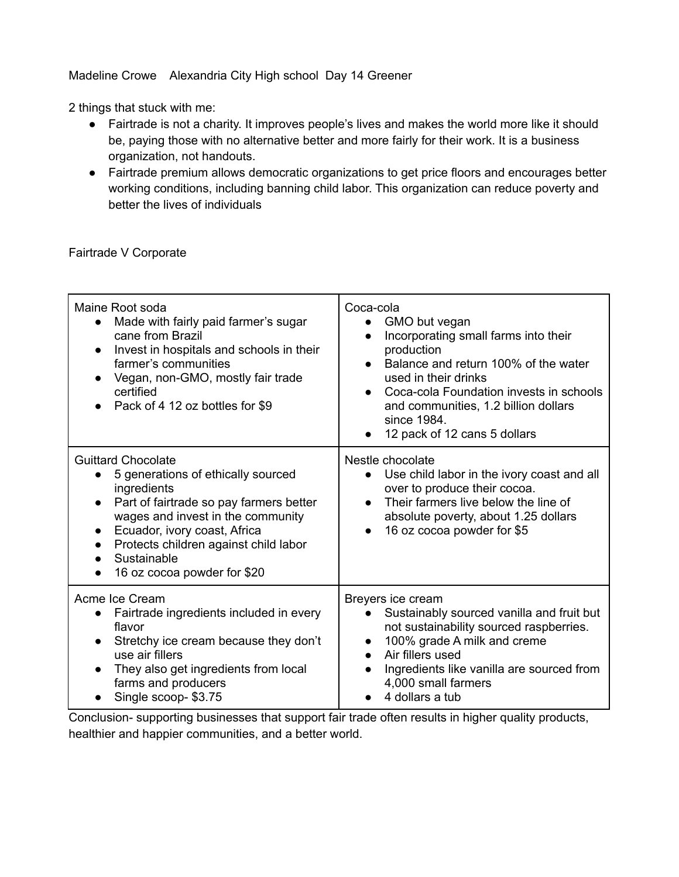#### Madeline Crowe Alexandria City High school Day 14 Greener

2 things that stuck with me:

- Fairtrade is not a charity. It improves people's lives and makes the world more like it should be, paying those with no alternative better and more fairly for their work. It is a business organization, not handouts.
- Fairtrade premium allows democratic organizations to get price floors and encourages better working conditions, including banning child labor. This organization can reduce poverty and better the lives of individuals

Fairtrade V Corporate

| Maine Root soda<br>Made with fairly paid farmer's sugar<br>cane from Brazil<br>Invest in hospitals and schools in their<br>farmer's communities<br>Vegan, non-GMO, mostly fair trade<br>certified<br>Pack of 4 12 oz bottles for \$9                                                                            | Coca-cola<br>GMO but vegan<br>Incorporating small farms into their<br>$\bullet$<br>production<br>Balance and return 100% of the water<br>$\bullet$<br>used in their drinks<br>Coca-cola Foundation invests in schools<br>$\bullet$<br>and communities, 1.2 billion dollars<br>since 1984.<br>12 pack of 12 cans 5 dollars |
|-----------------------------------------------------------------------------------------------------------------------------------------------------------------------------------------------------------------------------------------------------------------------------------------------------------------|---------------------------------------------------------------------------------------------------------------------------------------------------------------------------------------------------------------------------------------------------------------------------------------------------------------------------|
| <b>Guittard Chocolate</b><br>5 generations of ethically sourced<br>ingredients<br>Part of fairtrade so pay farmers better<br>$\bullet$<br>wages and invest in the community<br>Ecuador, ivory coast, Africa<br>Protects children against child labor<br>Sustainable<br>16 oz cocoa powder for \$20<br>$\bullet$ | Nestle chocolate<br>Use child labor in the ivory coast and all<br>$\bullet$<br>over to produce their cocoa.<br>Their farmers live below the line of<br>$\bullet$<br>absolute poverty, about 1.25 dollars<br>16 oz cocoa powder for \$5<br>$\bullet$                                                                       |
| Acme Ice Cream<br>Fairtrade ingredients included in every<br>flavor<br>Stretchy ice cream because they don't<br>use air fillers<br>They also get ingredients from local<br>farms and producers<br>Single scoop-\$3.75                                                                                           | Breyers ice cream<br>Sustainably sourced vanilla and fruit but<br>not sustainability sourced raspberries.<br>100% grade A milk and creme<br>$\bullet$<br>Air fillers used<br>$\bullet$<br>Ingredients like vanilla are sourced from<br>4,000 small farmers<br>4 dollars a tub                                             |

Conclusion- supporting businesses that support fair trade often results in higher quality products, healthier and happier communities, and a better world.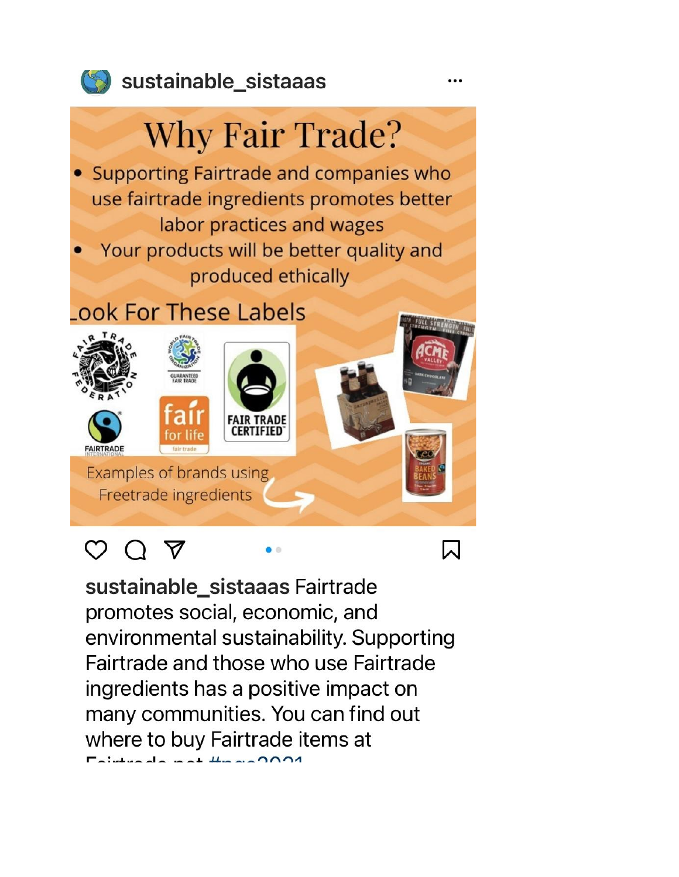

### Sustainable sistaaas

# **Why Fair Trade?**

- Supporting Fairtrade and companies who use fairtrade ingredients promotes better labor practices and wages
- Your products will be better quality and produced ethically

## ook For These Labels



# O Q A

sustainable\_sistaaas Fairtrade promotes social, economic, and environmental sustainability. Supporting Fairtrade and those who use Fairtrade ingredients has a positive impact on many communities. You can find out where to buy Fairtrade items at  $intrad \cos \theta + \frac{1}{2} \cos 2001$ 

 $\bullet$   $\circ$ 

الدا